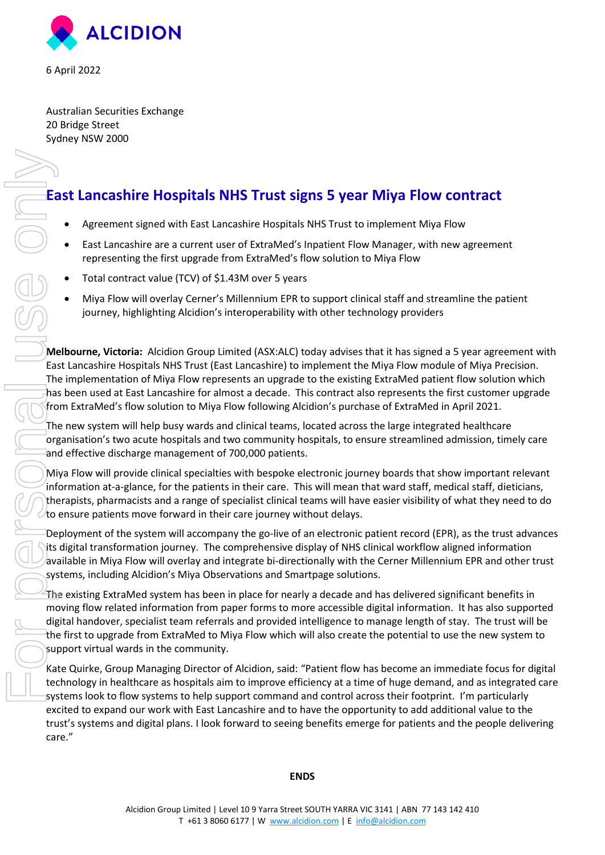

6 April 2022

Australian Securities Exchange 20 Bridge Street Sydney NSW 2000

# **East Lancashire Hospitals NHS Trust signs 5 year Miya Flow contract**

- Agreement signed with East Lancashire Hospitals NHS Trust to implement Miya Flow
- East Lancashire are a current user of ExtraMed's Inpatient Flow Manager, with new agreement representing the first upgrade from ExtraMed's flow solution to Miya Flow
- Total contract value (TCV) of \$1.43M over 5 years
- Miya Flow will overlay Cerner's Millennium EPR to support clinical staff and streamline the patient journey, highlighting Alcidion's interoperability with other technology providers

**Melbourne, Victoria:** Alcidion Group Limited (ASX:ALC) today advises that it has signed a 5 year agreement with East Lancashire Hospitals NHS Trust (East Lancashire) to implement the Miya Flow module of Miya Precision. The implementation of Miya Flow represents an upgrade to the existing ExtraMed patient flow solution which has been used at East Lancashire for almost a decade. This contract also represents the first customer upgrade from ExtraMed's flow solution to Miya Flow following Alcidion's purchase of ExtraMed in April 2021.

The new system will help busy wards and clinical teams, located across the large integrated healthcare organisation's two acute hospitals and two community hospitals, to ensure streamlined admission, timely care and effective discharge management of 700,000 patients.

Miya Flow will provide clinical specialties with bespoke electronic journey boards that show important relevant information at-a-glance, for the patients in their care. This will mean that ward staff, medical staff, dieticians, therapists, pharmacists and a range of specialist clinical teams will have easier visibility of what they need to do to ensure patients move forward in their care journey without delays.

Deployment of the system will accompany the go-live of an electronic patient record (EPR), as the trust advances its digital transformation journey. The comprehensive display of NHS clinical workflow aligned information available in Miya Flow will overlay and integrate bi-directionally with the Cerner Millennium EPR and other trust systems, including Alcidion's Miya Observations and Smartpage solutions.

The existing ExtraMed system has been in place for nearly a decade and has delivered significant benefits in moving flow related information from paper forms to more accessible digital information. It has also supported digital handover, specialist team referrals and provided intelligence to manage length of stay. The trust will be the first to upgrade from ExtraMed to Miya Flow which will also create the potential to use the new system to support virtual wards in the community.

Kate Quirke, Group Managing Director of Alcidion, said: "Patient flow has become an immediate focus for digital technology in healthcare as hospitals aim to improve efficiency at a time of huge demand, and as integrated care systems look to flow systems to help support command and control across their footprint. I'm particularly excited to expand our work with East Lancashire and to have the opportunity to add additional value to the trust's systems and digital plans. I look forward to seeing benefits emerge for patients and the people delivering care."

#### **ENDS**

For Personal USO COLOR<br>For Personal USO COLOR<br>The Personal USO COLOR<br>The Personal USO COLOR<br>The Personal USO COLOR<br>The Personal USO COLOR<br>The Personal USO COLOR<br>The Personal USO COLOR<br>The Personal USO COLOR<br>The Personal US